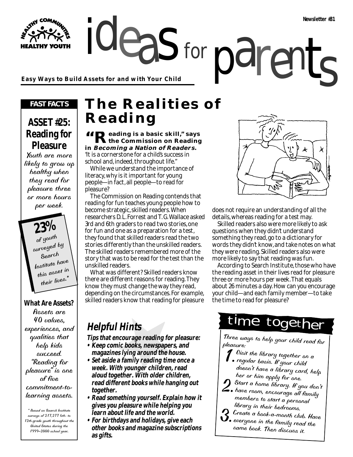ideas for parents **Easy Ways to Build Assets for and with Your Child**

### *FAST FACTS*

**THY YOUTH** 

### **ASSET #25: Reading for Pleasure**

Youth are more likely to grow up healthy when they read for pleasure three or more hours per week.

**23%** of youth surveyed by Search Institute have this asset in their lives.\*

### **What Are Assets?**

Assets are 40 values, experiences, and qualities that help kids succeed. "Reading for pleasure" is one of five commitment-tolearning assets.

\* Based on Search Institute surveys of 217,277 6th- to 12th-grade youth throughout the United States during the 1999–2000 school year..

# **The Realities of Reading**

for

### **66 Deading is a basic skill," says the Commission on Reading in Becoming a Nation of Readers.**

"It is a cornerstone for a child's success in school and, indeed, throughout life."

While we understand the importance of literacy, why is it important for young people—in fact, all people—to read for pleasure?

The Commission on Reading contends that reading for fun teaches young people how to become strategic, skilled readers. When researchers D. L. Forrest and T. G. Wallace asked 3rd and 6th graders to read two stories, one for fun and one as a preparation for a test, they found that skilled readers read the two stories differently than the unskilled readers. The skilled readers remembered more of the story that was to be read for the test than the unskilled readers.

What was different? Skilled readers know there are different reasons for reading. They know they must change the way they read, depending on the circumstances. For example, skilled readers know that reading for pleasure

# **Helpful Hints**

**Tips that encourage reading for pleasure:**

- **Keep comic books, newspapers, and magazines lying around the house.**
- **Set aside a family reading time once a week. With younger children, read aloud together. With older children, read different books while hanging out together.**
- **Read something yourself. Explain how it gives you pleasure while helping you learn about life and the world.**
- **For birthdays and holidays, give each other books and magazine subscriptions as gifts.**

# X

does not require an understanding of all the details, whereas reading for a test may.

Skilled readers also were more likely to ask questions when they didn't understand something they read, go to a dictionary for words they didn't know, and take notes on what they were reading. Skilled readers also were more likely to say that reading was fun.

According to Search Institute, those who have the reading asset in their lives read for pleasure three or more hours per week. That equals about 26 minutes a day. How can you encourage your child—and each family member—to take the time to read for pleasure?

# time together

Three ways to help your child read for pleasure:

- $^\prime$  Uisit the library together on a regular basis. If your child doesn't have a library card, help her or him apply for one.
- 2.Start a home library. If you don't
- $\mathbf{Z}$  . have room, encourage all family members to start a personal library in their bedrooms.
- $\sum$  Create a book-a-month club. Have
- $\mathbf \Omega_\bullet$  everyone in the family read the same book. Then discuss it.